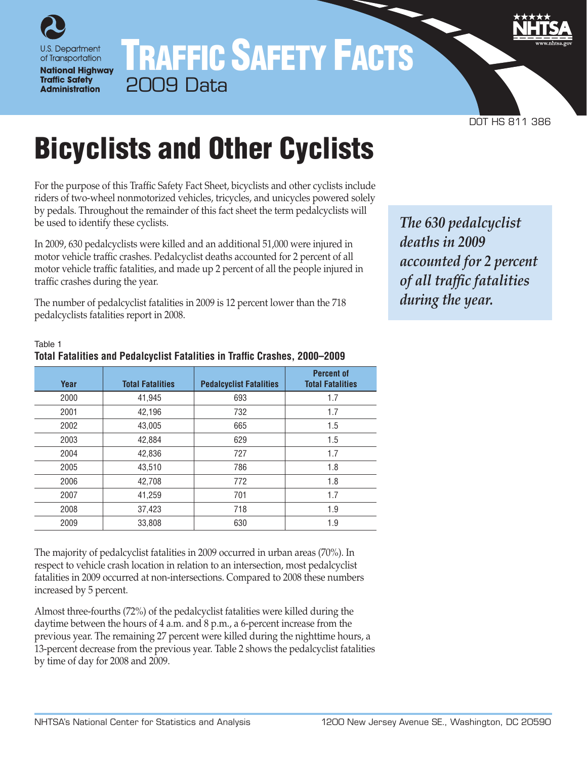

## TRAFFIC SAFETY FACTS 2009 Data

DOT HS 811 386

# Bicyclists and Other Cyclists

For the purpose of this Traffic Safety Fact Sheet, bicyclists and other cyclists include riders of two-wheel nonmotorized vehicles, tricycles, and unicycles powered solely by pedals. Throughout the remainder of this fact sheet the term pedalcyclists will be used to identify these cyclists.

In 2009, 630 pedalcyclists were killed and an additional 51,000 were injured in motor vehicle traffic crashes. Pedalcyclist deaths accounted for 2 percent of all motor vehicle traffic fatalities, and made up 2 percent of all the people injured in traffic crashes during the year.

The number of pedalcyclist fatalities in 2009 is 12 percent lower than the 718 pedalcyclists fatalities report in 2008.

*The 630 pedalcyclist deaths in 2009 accounted for 2 percent of all traffic fatalities during the year.*

| Year | <b>Total Fatalities</b> | <b>Pedalcyclist Fatalities</b> | <b>Percent of</b><br><b>Total Fatalities</b> |
|------|-------------------------|--------------------------------|----------------------------------------------|
| 2000 | 41,945                  | 693                            | 1.7                                          |
| 2001 | 42,196                  | 732                            | 1.7                                          |
| 2002 | 43,005                  | 665                            | 1.5                                          |
| 2003 | 42,884                  | 629                            | 1.5                                          |
| 2004 | 42,836                  | 727                            | 1.7                                          |
| 2005 | 43,510                  | 786                            | 1.8                                          |
| 2006 | 42,708                  | 772                            | 1.8                                          |
| 2007 | 41,259                  | 701                            | 1.7                                          |
| 2008 | 37,423                  | 718                            | 1.9                                          |
| 2009 | 33,808                  | 630                            | 1.9                                          |

#### Table 1 **Total Fatalities and Pedalcyclist Fatalities in Traffic Crashes, 2000–2009**

The majority of pedalcyclist fatalities in 2009 occurred in urban areas (70%). In respect to vehicle crash location in relation to an intersection, most pedalcyclist fatalities in 2009 occurred at non-intersections. Compared to 2008 these numbers increased by 5 percent.

Almost three-fourths (72%) of the pedalcyclist fatalities were killed during the daytime between the hours of 4 a.m. and 8 p.m., a 6-percent increase from the previous year. The remaining 27 percent were killed during the nighttime hours, a 13-percent decrease from the previous year. Table 2 shows the pedalcyclist fatalities by time of day for 2008 and 2009.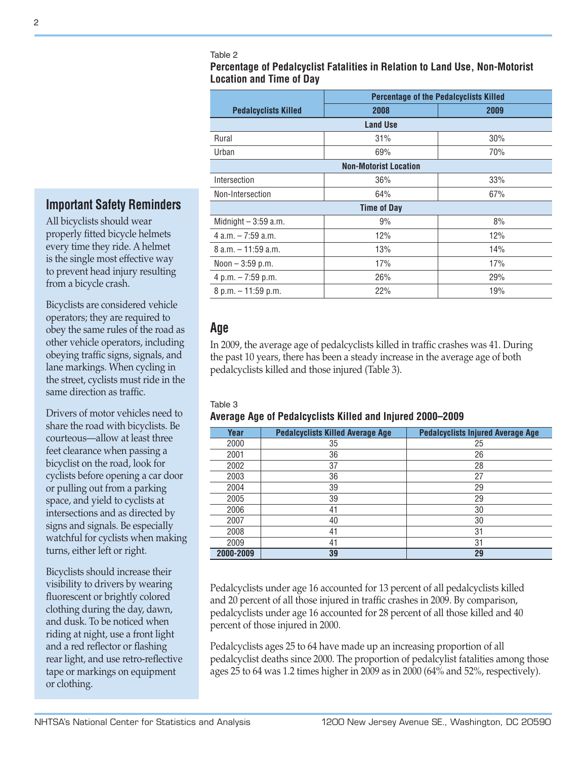**Percentage of Pedalcyclist Fatalities in Relation to Land Use, Non-Motorist Location and Time of Day** 

|                             | <b>Percentage of the Pedalcyclists Killed</b> |      |  |  |  |
|-----------------------------|-----------------------------------------------|------|--|--|--|
| <b>Pedalcyclists Killed</b> | 2008                                          | 2009 |  |  |  |
|                             | <b>Land Use</b>                               |      |  |  |  |
| Rural                       | 31%                                           | 30%  |  |  |  |
| Urban                       | 69%                                           | 70%  |  |  |  |
|                             | <b>Non-Motorist Location</b>                  |      |  |  |  |
| Intersection                | 36%                                           | 33%  |  |  |  |
| Non-Intersection            | 64%                                           | 67%  |  |  |  |
|                             | <b>Time of Day</b>                            |      |  |  |  |
| Midnight $-3:59$ a.m.       | 9%                                            | 8%   |  |  |  |
| $4$ a.m. $-7:59$ a.m.       | 12%                                           | 12%  |  |  |  |
| $8$ a.m. $-11:59$ a.m.      | 13%                                           | 14%  |  |  |  |
| Noon $-3:59$ p.m.           | 17%                                           | 17%  |  |  |  |
| 4 p.m. $-7:59$ p.m.         | 26%                                           | 29%  |  |  |  |
| 8 p.m. - 11:59 p.m.         | 22%                                           | 19%  |  |  |  |
|                             |                                               |      |  |  |  |

## **Age**

In 2009, the average age of pedalcyclists killed in traffic crashes was 41. During the past 10 years, there has been a steady increase in the average age of both pedalcyclists killed and those injured (Table 3).

#### Table 3

**Average Age of Pedalcyclists Killed and Injured 2000–2009**

| Year      | <b>Pedalcyclists Killed Average Age</b> | <b>Pedalcyclists Injured Average Age</b> |
|-----------|-----------------------------------------|------------------------------------------|
| 2000      | 35                                      | 25                                       |
| 2001      | 36                                      | 26                                       |
| 2002      | 37                                      | 28                                       |
| 2003      | 36                                      | 27                                       |
| 2004      | 39                                      | 29                                       |
| 2005      | 39                                      | 29                                       |
| 2006      | 41                                      | 30                                       |
| 2007      | 40                                      | 30                                       |
| 2008      | 41                                      | 31                                       |
| 2009      | 41                                      | 31                                       |
| 2000-2009 | 39                                      | 29                                       |

Pedalcyclists under age 16 accounted for 13 percent of all pedalcyclists killed and 20 percent of all those injured in traffic crashes in 2009. By comparison, pedalcyclists under age 16 accounted for 28 percent of all those killed and 40 percent of those injured in 2000.

Pedalcyclists ages 25 to 64 have made up an increasing proportion of all pedalcyclist deaths since 2000. The proportion of pedalcylist fatalities among those ages 25 to 64 was 1.2 times higher in 2009 as in 2000 (64% and 52%, respectively).

## **Important Safety Reminders**

All bicyclists should wear properly fitted bicycle helmets every time they ride. A helmet is the single most effective way to prevent head injury resulting from a bicycle crash.

Bicyclists are considered vehicle operators; they are required to obey the same rules of the road as other vehicle operators, including obeying traffic signs, signals, and lane markings. When cycling in the street, cyclists must ride in the same direction as traffic.

Drivers of motor vehicles need to share the road with bicyclists. Be courteous—allow at least three feet clearance when passing a bicyclist on the road, look for cyclists before opening a car door or pulling out from a parking space, and yield to cyclists at intersections and as directed by signs and signals. Be especially watchful for cyclists when making turns, either left or right.

Bicyclists should increase their visibility to drivers by wearing fluorescent or brightly colored clothing during the day, dawn, and dusk. To be noticed when riding at night, use a front light and a red reflector or flashing rear light, and use retro-reflective tape or markings on equipment or clothing.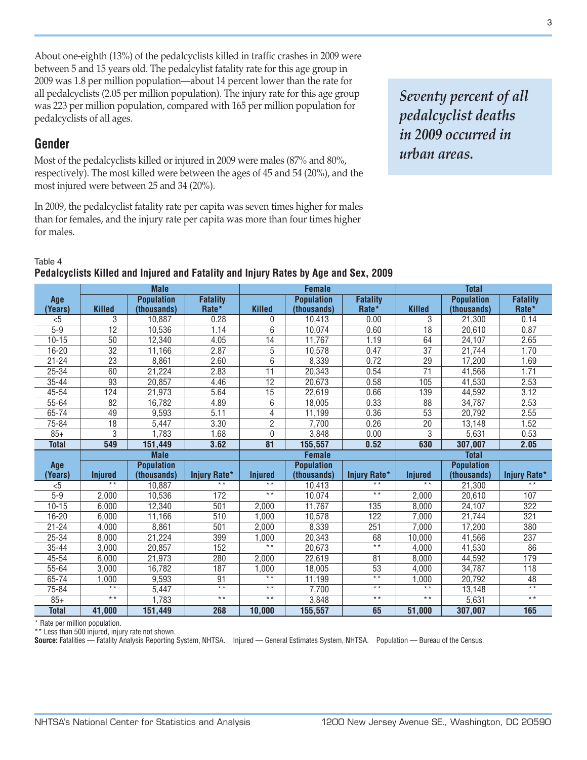About one-eighth (13%) of the pedalcyclists killed in traffic crashes in 2009 were between 5 and 15 years old. The pedalcylist fatality rate for this age group in 2009 was 1.8 per million population—about 14 percent lower than the rate for all pedalcyclists (2.05 per million population). The injury rate for this age group was 223 per million population, compared with 165 per million population for pedalcyclists of all ages.

## **Gender**

Most of the pedalcyclists killed or injured in 2009 were males (87% and 80%, respectively). The most killed were between the ages of 45 and 54 (20%), and the most injured were between 25 and 34 (20%).

In 2009, the pedalcyclist fatality rate per capita was seven times higher for males than for females, and the injury rate per capita was more than four times higher for males.

*Seventy percent of all pedalcyclist deaths in 2009 occurred in urban areas.*

#### Table 4

|                       | <b>Male</b>               |                   | <b>Female</b>       |                           |                   | Total                 |                 |                   |                     |
|-----------------------|---------------------------|-------------------|---------------------|---------------------------|-------------------|-----------------------|-----------------|-------------------|---------------------|
| Age                   |                           | <b>Population</b> | <b>Fatality</b>     |                           | <b>Population</b> | <b>Fatality</b>       |                 | <b>Population</b> | <b>Fatality</b>     |
| (Years)               | <b>Killed</b>             | (thousands)       | Rate*               | <b>Killed</b>             | (thousands)       | Rate*                 | <b>Killed</b>   | (thousands)       | Rate*               |
| $5$                   | 3                         | 10,887            | 0.28                | 0                         | 10,413            | 0.00                  | 3               | 21,300            | 0.14                |
| $5 - 9$               | $\overline{12}$           | 10,536            | 1.14                | 6                         | 10,074            | 0.60                  | 18              | 20,610            | 0.87                |
| $10 - 15$             | $\overline{50}$           | 12,340            | 4.05                | $\overline{14}$           | 11,767            | 1.19                  | 64              | 24,107            | 2.65                |
| $16 - 20$             | $\overline{32}$           | 11,166            | 2.87                | 5                         | 10,578            | 0.47                  | $\overline{37}$ | 21,744            | 1.70                |
| $21 - 24$             | $\overline{23}$           | 8,861             | 2.60                | $\overline{6}$            | 8,339             | 0.72                  | $\overline{29}$ | 17,200            | 1.69                |
| $25 - 34$             | 60                        | 21,224            | 2.83                | $\overline{11}$           | 20,343            | 0.54                  | $\overline{71}$ | 41,566            | 1.71                |
| $35 - 44$             | $\overline{93}$           | 20,857            | 4.46                | $\overline{12}$           | 20,673            | 0.58                  | 105             | 41,530            | 2.53                |
| 45-54                 | 124                       | 21,973            | 5.64                | 15                        | 22,619            | 0.66                  | 139             | 44,592            | 3.12                |
| $55 - 64$             | 82                        | 16,782            | 4.89                | $\overline{6}$            | 18,005            | 0.33                  | 88              | 34,787            | 2.53                |
| 65-74                 | 49                        | 9,593             | 5.11                | 4                         | 11,199            | 0.36                  | $\overline{53}$ | 20,792            | 2.55                |
| $75 - 84$             | $\overline{18}$           | 5,447             | 3.30                | $\overline{2}$            | 7,700             | 0.26                  | $\overline{20}$ | 13,148            | 1.52                |
| $85+$                 | 3                         | 1,783             | 1.68                | 0                         | 3,848             | 0.00                  | 3               | 5,631             | 0.53                |
| <b>Total</b>          | 549                       | 151,449           | 3.62                | $\overline{81}$           | 155,557           | 0.52                  | 630             | 307,007           | 2.05                |
|                       | <b>Male</b>               |                   |                     |                           |                   |                       |                 |                   |                     |
|                       |                           |                   |                     |                           | <b>Female</b>     |                       |                 | <b>Total</b>      |                     |
| Age                   |                           | <b>Population</b> |                     |                           | <b>Population</b> |                       |                 | <b>Population</b> |                     |
| (Years)               | <b>Injured</b>            | (thousands)       | <b>Injury Rate*</b> | <b>Injured</b>            | (thousands)       | <b>Injury Rate*</b>   | <b>Injured</b>  | (thousands)       | <b>Injury Rate*</b> |
| $5$                   | $\overline{**}$           | 10,887            | $* *$               | $**$                      | 10,413            | $\overline{\ast}$     | $* *$           | 21,300            | $* *$               |
| $5 - 9$               | 2,000                     | 10,536            | 172                 | $\star\star$              | 10,074            | $\star\star$          | 2,000           | 20,610            | 107                 |
| $10 - 15$             | 6,000                     | 12,340            | 501                 | 2,000                     | 11,767            | 135                   | 8,000           | 24,107            | 322                 |
| $16 - 20$             | 6,000                     | 11,166            | 510                 | 1,000                     | 10,578            | 122                   | 7,000           | 21,744            | 321                 |
| $21 - 24$             | 4,000                     | 8,861             | 501                 | 2,000                     | 8,339             | 251                   | 7,000           | 17,200            | 380                 |
| 25-34                 | 8,000                     | 21,224            | 399                 | 1,000                     | 20,343            | 68                    | 10,000          | 41,566            | 237                 |
| 35-44                 | 3.000                     | 20.857            | 152                 | $\overline{**}$           | 20,673            | $\overline{**}$       | 4.000           | 41.530            | 86                  |
| $45 - 54$             | 6,000                     | 21,973            | 280                 | 2,000                     | 22,619            | $\overline{81}$       | 8,000           | 44,592            | 179                 |
| $55 - 64$             | 3,000                     | 16,782            | 187                 | 1,000                     | 18,005            | $\overline{53}$       | 4,000           | 34,787            | $\overline{118}$    |
| 65-74                 | 1,000                     | 9,593             | 91                  | $\overline{**}$           | 11,199            | $\overline{\ast\ast}$ | 1,000           | 20,792            | 48                  |
| 75-84                 | $\overline{\ast\ast}$     | 5,447             | $*$                 | $\star\star$              | 7,700             | $\star\star$          | $\star\star$    | 13,148            | $\overline{**}$     |
| $85+$<br><b>Total</b> | $\overline{**}$<br>41,000 | 1,783<br>151,449  | $\star\star$<br>268 | $\overline{**}$<br>10,000 | 3,848<br>155,557  | $\overline{**}$<br>65 | $* *$<br>51,000 | 5,631<br>307,007  | $**$<br>165         |

#### **Pedalcyclists Killed and Injured and Fatality and Injury Rates by Age and Sex, 2009**

\* Rate per million population.

\*\* Less than 500 injured, injury rate not shown.

**Source:** Fatalities — Fatality Analysis Reporting System, NHTSA. Injured — General Estimates System, NHTSA. Population — Bureau of the Census.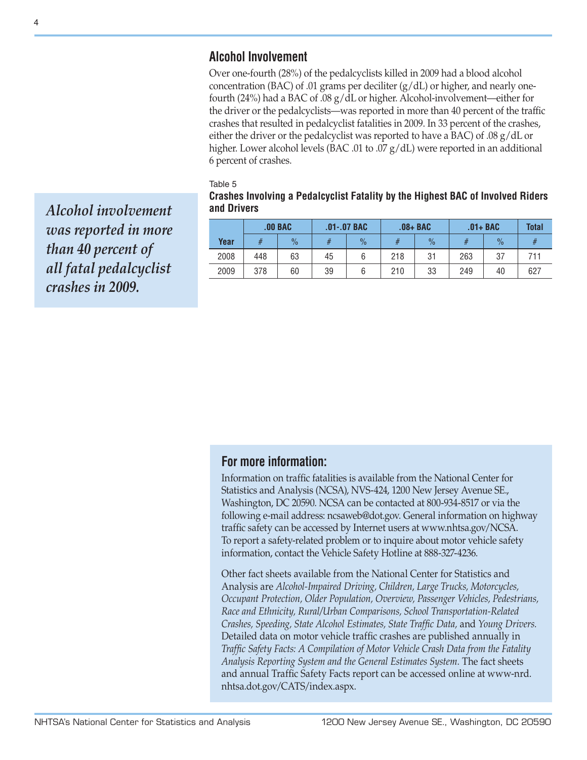## **Alcohol Involvement**

Over one-fourth (28%) of the pedalcyclists killed in 2009 had a blood alcohol concentration (BAC) of .01 grams per deciliter  $(g/dL)$  or higher, and nearly onefourth (24%) had a BAC of .08 g/dL or higher. Alcohol-involvement—either for the driver or the pedalcyclists—was reported in more than 40 percent of the traffic crashes that resulted in pedalcyclist fatalities in 2009. In 33 percent of the crashes, either the driver or the pedalcyclist was reported to have a BAC) of .08 g/dL or higher. Lower alcohol levels (BAC .01 to .07 g/dL) were reported in an additional 6 percent of crashes.

Table 5

| Crashes Involving a Pedalcyclist Fatality by the Highest BAC of Involved Riders |  |
|---------------------------------------------------------------------------------|--|
| and Drivers                                                                     |  |

|      | $.00$ BAC |               | $.01-.07$ BAC |               | $.08 + BAC$ |               | $.01 + BAC$ |               | <b>Total</b> |
|------|-----------|---------------|---------------|---------------|-------------|---------------|-------------|---------------|--------------|
| Year |           | $\frac{0}{2}$ |               | $\frac{0}{2}$ |             | $\frac{0}{0}$ | #           | $\frac{0}{2}$ |              |
| 2008 | 448       | 63            | 45            |               | 218         | 31            | 263         | 37            | 711          |
| 2009 | 378       | 60            | 39            |               | 210         | 33            | 249         | 40            | 627          |

*Alcohol involvement was reported in more than 40 percent of all fatal pedalcyclist crashes in 2009.*

## **For more information:**

Information on traffic fatalities is available from the National Center for Statistics and Analysis (NCSA), NVS-424, 1200 New Jersey Avenue SE., Washington, DC 20590. NCSA can be contacted at 800-934-8517 or via the following e-mail address: ncsaweb@dot.gov. General information on highway traffic safety can be accessed by Internet users at [www.nhtsa.gov/NCSA](http://www.nhtsa.gov/NCSA). To report a safety-related problem or to inquire about motor vehicle safety information, contact the Vehicle Safety Hotline at 888-327-4236.

Other fact sheets available from the National Center for Statistics and Analysis are *Alcohol-Impaired Driving, Children, Large Trucks, Motorcycles, Occupant Protection, Older Population, Overview, Passenger Vehicles, Pedestrians, Race and Ethnicity, Rural/Urban Comparisons, School Transportation-Related Crashes, Speeding, State Alcohol Estimates, State Traffic Data,* and *Young Drivers.* Detailed data on motor vehicle traffic crashes are published annually in *Traffic Safety Facts: A Compilation of Motor Vehicle Crash Data from the Fatality Analysis Reporting System and the General Estimates System.* The fact sheets and annual Traffic Safety Facts report can be accessed online at [www-nrd.](www-nrd.nhtsa.dot.gov/CATS/index.aspx) [nhtsa.dot.gov/CATS/index.aspx](www-nrd.nhtsa.dot.gov/CATS/index.aspx).